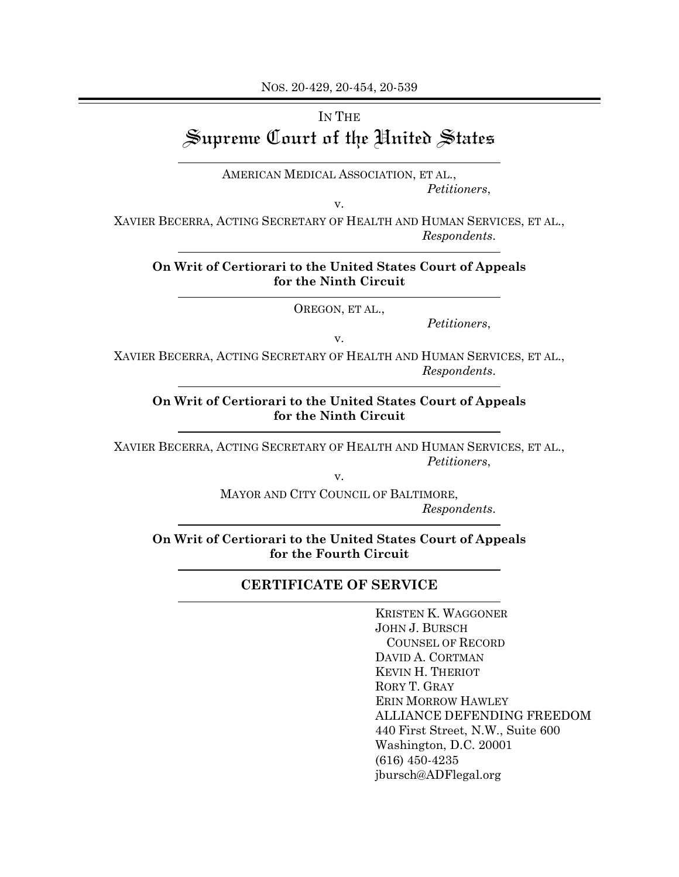NOS. 20-429, 20-454, 20-539

## IN THE Supreme Court of the United States

AMERICAN MEDICAL ASSOCIATION, ET AL., *Petitioners*,

v.

XAVIER BECERRA, ACTING SECRETARY OF HEALTH AND HUMAN SERVICES, ET AL., *Respondents*.

## **On Writ of Certiorari to the United States Court of Appeals for the Ninth Circuit**

OREGON, ET AL.,

v.

*Petitioners*,

XAVIER BECERRA, ACTING SECRETARY OF HEALTH AND HUMAN SERVICES, ET AL., *Respondents*.

**On Writ of Certiorari to the United States Court of Appeals for the Ninth Circuit**

XAVIER BECERRA, ACTING SECRETARY OF HEALTH AND HUMAN SERVICES, ET AL., *Petitioners*,

v.

MAYOR AND CITY COUNCIL OF BALTIMORE, *Respondents*.

**On Writ of Certiorari to the United States Court of Appeals for the Fourth Circuit**

## **CERTIFICATE OF SERVICE**

KRISTEN K. WAGGONER JOHN J. BURSCH COUNSEL OF RECORD DAVID A. CORTMAN KEVIN H. THERIOT RORY T. GRAY ERIN MORROW HAWLEY ALLIANCE DEFENDING FREEDOM 440 First Street, N.W., Suite 600 Washington, D.C. 20001 (616) 450-4235 jbursch@ADFlegal.org